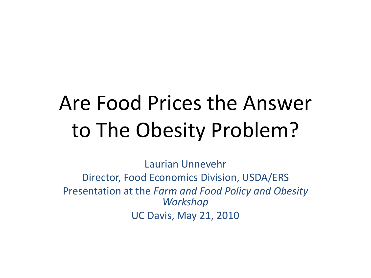# Are Food Prices the Answer to The Obesity Problem?

Laurian Unnevehr Director, Food Economics Division, USDA/ERS Presentation at the *Farm and Food Policy and Obesity Workshop* UC Davis, May 21, 2010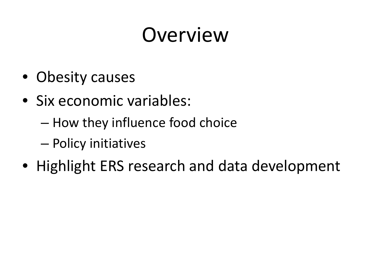# Overview

- Obesity causes
- Six economic variables:
	- How they influence food choice
	- Policy initiatives
- Highlight ERS research and data development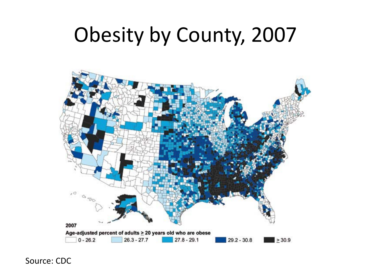# Obesity by County, 2007



Source: CDC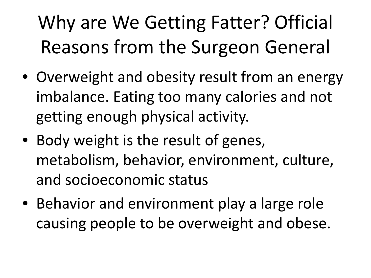# Why are We Getting Fatter? Official Reasons from the Surgeon General

- Overweight and obesity result from an energy imbalance. Eating too many calories and not getting enough physical activity.
- Body weight is the result of genes, metabolism, behavior, environment, culture, and socioeconomic status
- Behavior and environment play a large role causing people to be overweight and obese.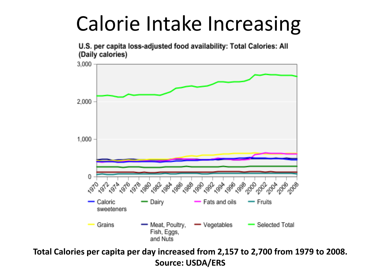#### Calorie Intake Increasing



U.S. per capita loss-adjusted food availability: Total Calories: All (Daily calories)

**Total Calories per capita per day increased from 2,157 to 2,700 from 1979 to 2008. Source: USDA/ERS**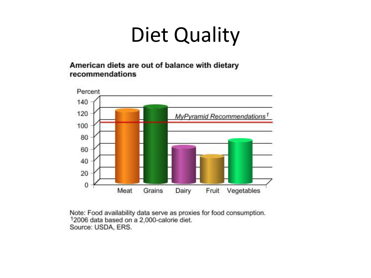# Diet Quality

American diets are out of balance with dietary recommendations



Note: Food availability data serve as proxies for food consumption. 12006 data based on a 2,000-calorie diet. Source: USDA, ERS.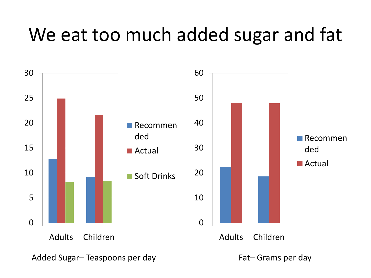#### We eat too much added sugar and fat

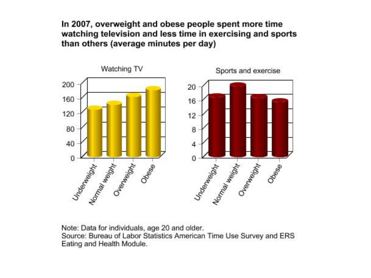In 2007, overweight and obese people spent more time watching television and less time in exercising and sports than others (average minutes per day)



Note: Data for individuals, age 20 and older.

Source: Bureau of Labor Statistics American Time Use Survey and ERS Eating and Health Module.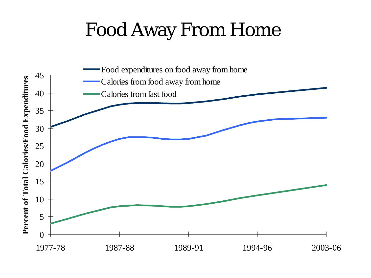#### Food Away From Home

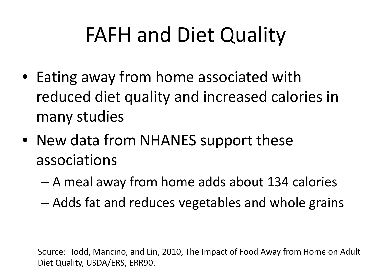# FAFH and Diet Quality

- Eating away from home associated with reduced diet quality and increased calories in many studies
- New data from NHANES support these associations
	- A meal away from home adds about 134 calories
	- Adds fat and reduces vegetables and whole grains

Source: Todd, Mancino, and Lin, 2010, The Impact of Food Away from Home on Adult Diet Quality, USDA/ERS, ERR90.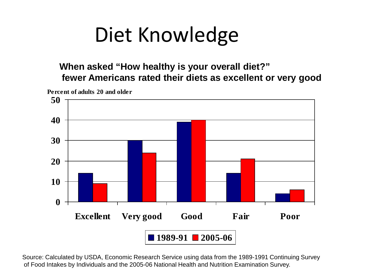#### Diet Knowledge

**When asked "How healthy is your overall diet?" fewer Americans rated their diets as excellent or very good** 



Source: Calculated by USDA, Economic Research Service using data from the 1989-1991 Continuing Survey of Food Intakes by Individuals and the 2005-06 National Health and Nutrition Examination Survey.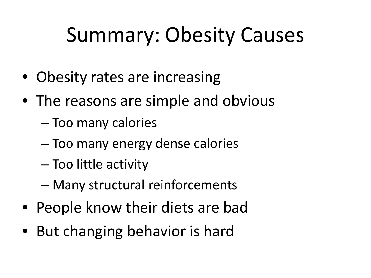# Summary: Obesity Causes

- Obesity rates are increasing
- The reasons are simple and obvious
	- Too many calories
	- Too many energy dense calories
	- Too little activity
	- Many structural reinforcements
- People know their diets are bad
- But changing behavior is hard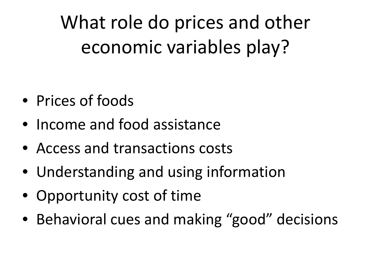What role do prices and other economic variables play?

- Prices of foods
- Income and food assistance
- Access and transactions costs
- Understanding and using information
- Opportunity cost of time
- Behavioral cues and making "good" decisions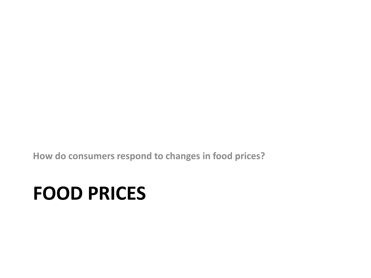**How do consumers respond to changes in food prices?** 

#### **FOOD PRICES**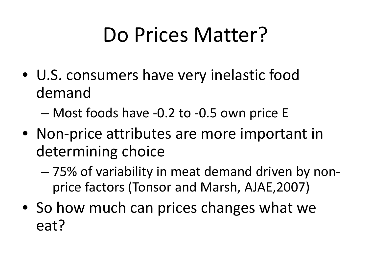# Do Prices Matter?

• U.S. consumers have very inelastic food demand

– Most foods have -0.2 to -0.5 own price E

- Non-price attributes are more important in determining choice
	- 75% of variability in meat demand driven by nonprice factors (Tonsor and Marsh, AJAE,2007)
- So how much can prices changes what we eat?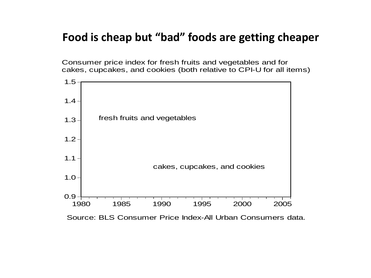#### **Food is cheap but "bad" foods are getting cheaper**

Consumer price index for fresh fruits and vegetables and for cakes, cupcakes, and cookies (both relative to CPI-U for all items)



Source: BLS Consumer Price Index-All Urban Consumers data.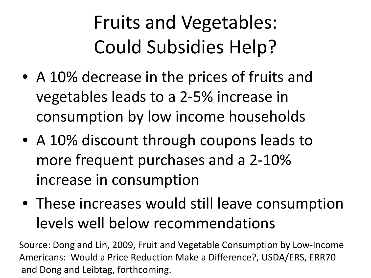#### Fruits and Vegetables: Could Subsidies Help?

- A 10% decrease in the prices of fruits and vegetables leads to a 2-5% increase in consumption by low income households
- A 10% discount through coupons leads to more frequent purchases and a 2-10% increase in consumption
- These increases would still leave consumption levels well below recommendations

Source: Dong and Lin, 2009, Fruit and Vegetable Consumption by Low-Income Americans: Would a Price Reduction Make a Difference?, USDA/ERS, ERR70 and Dong and Leibtag, forthcoming.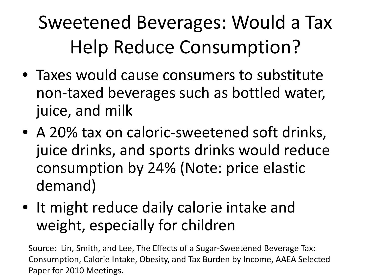#### Sweetened Beverages: Would a Tax Help Reduce Consumption?

- Taxes would cause consumers to substitute non-taxed beverages such as bottled water, juice, and milk
- A 20% tax on caloric-sweetened soft drinks, juice drinks, and sports drinks would reduce consumption by 24% (Note: price elastic demand)
- It might reduce daily calorie intake and weight, especially for children

Source: Lin, Smith, and Lee, The Effects of a Sugar-Sweetened Beverage Tax: Consumption, Calorie Intake, Obesity, and Tax Burden by Income, AAEA Selected Paper for 2010 Meetings.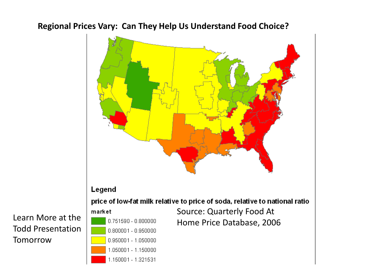#### **Regional Prices Vary: Can They Help Us Understand Food Choice?**



Todd Presentation **Tomorrow**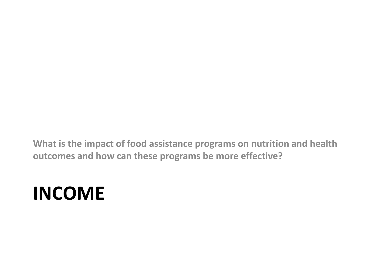**What is the impact of food assistance programs on nutrition and health outcomes and how can these programs be more effective?** 

#### **INCOME**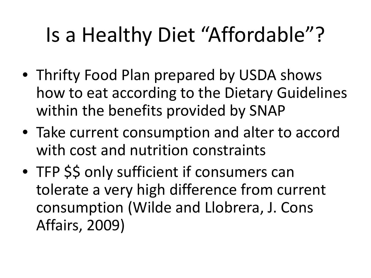# Is a Healthy Diet "Affordable"?

- Thrifty Food Plan prepared by USDA shows how to eat according to the Dietary Guidelines within the benefits provided by SNAP
- Take current consumption and alter to accord with cost and nutrition constraints
- TFP \$\$ only sufficient if consumers can tolerate a very high difference from current consumption (Wilde and Llobrera, J. Cons Affairs, 2009)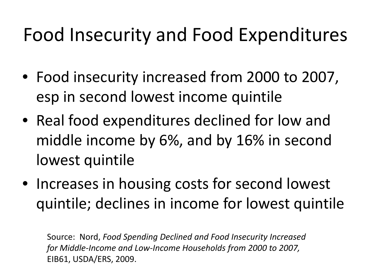#### Food Insecurity and Food Expenditures

- Food insecurity increased from 2000 to 2007, esp in second lowest income quintile
- Real food expenditures declined for low and middle income by 6%, and by 16% in second lowest quintile
- Increases in housing costs for second lowest quintile; declines in income for lowest quintile

Source: Nord, *Food Spending Declined and Food Insecurity Increased for Middle-Income and Low-Income Households from 2000 to 2007,*  EIB61, USDA/ERS, 2009.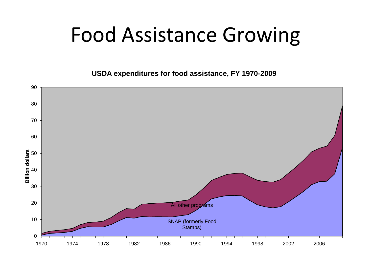#### Food Assistance Growing

**USDA expenditures for food assistance, FY 1970-2009**

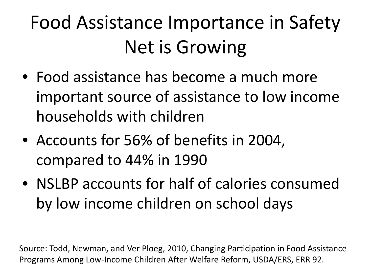# Food Assistance Importance in Safety Net is Growing

- Food assistance has become a much more important source of assistance to low income households with children
- Accounts for 56% of benefits in 2004, compared to 44% in 1990
- NSLBP accounts for half of calories consumed by low income children on school days

Source: Todd, Newman, and Ver Ploeg, 2010, Changing Participation in Food Assistance Programs Among Low-Income Children After Welfare Reform, USDA/ERS, ERR 92.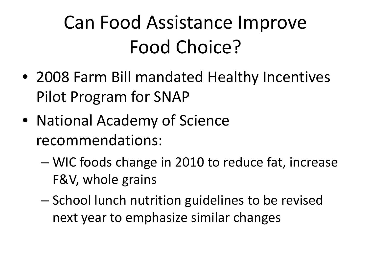#### Can Food Assistance Improve Food Choice?

- 2008 Farm Bill mandated Healthy Incentives Pilot Program for SNAP
- National Academy of Science recommendations:
	- WIC foods change in 2010 to reduce fat, increase F&V, whole grains
	- School lunch nutrition guidelines to be revised next year to emphasize similar changes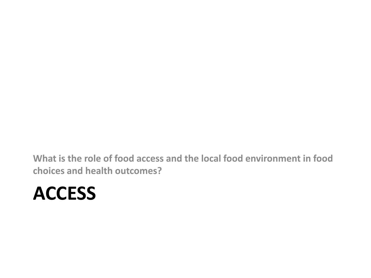**What is the role of food access and the local food environment in food choices and health outcomes?**

#### **ACCESS**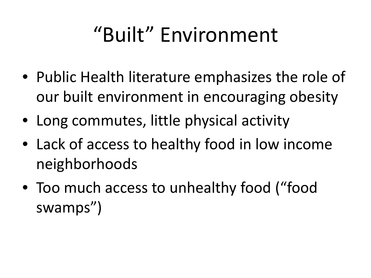# "Built" Environment

- Public Health literature emphasizes the role of our built environment in encouraging obesity
- Long commutes, little physical activity
- Lack of access to healthy food in low income neighborhoods
- Too much access to unhealthy food ("food swamps")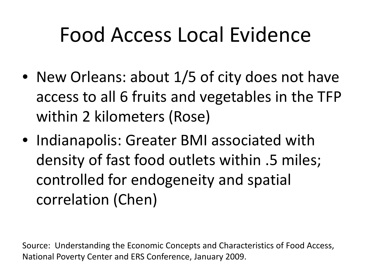# Food Access Local Evidence

- New Orleans: about 1/5 of city does not have access to all 6 fruits and vegetables in the TFP within 2 kilometers (Rose)
- Indianapolis: Greater BMI associated with density of fast food outlets within .5 miles; controlled for endogeneity and spatial correlation (Chen)

Source: Understanding the Economic Concepts and Characteristics of Food Access, National Poverty Center and ERS Conference, January 2009.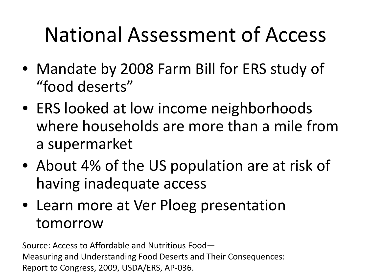## National Assessment of Access

- Mandate by 2008 Farm Bill for ERS study of "food deserts"
- ERS looked at low income neighborhoods where households are more than a mile from a supermarket
- About 4% of the US population are at risk of having inadequate access
- Learn more at Ver Ploeg presentation tomorrow

Source: Access to Affordable and Nutritious Food— Measuring and Understanding Food Deserts and Their Consequences: Report to Congress, 2009, USDA/ERS, AP-036.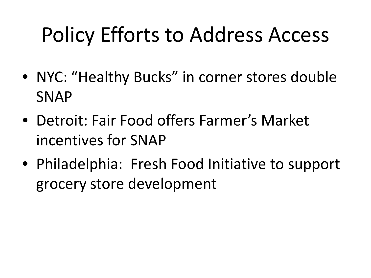# Policy Efforts to Address Access

- NYC: "Healthy Bucks" in corner stores double SNAP
- Detroit: Fair Food offers Farmer's Market incentives for SNAP
- Philadelphia: Fresh Food Initiative to support grocery store development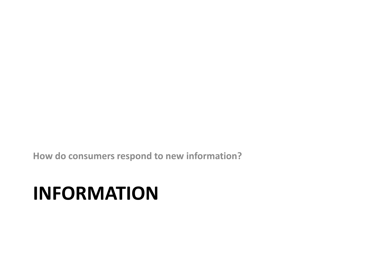**How do consumers respond to new information?** 

#### **INFORMATION**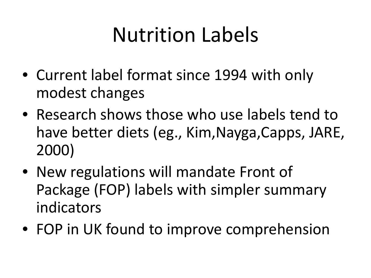# Nutrition Labels

- Current label format since 1994 with only modest changes
- Research shows those who use labels tend to have better diets (eg., Kim,Nayga,Capps, JARE, 2000)
- New regulations will mandate Front of Package (FOP) labels with simpler summary indicators
- FOP in UK found to improve comprehension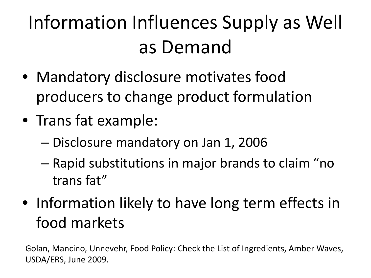# Information Influences Supply as Well as Demand

- Mandatory disclosure motivates food producers to change product formulation
- Trans fat example:
	- Disclosure mandatory on Jan 1, 2006
	- Rapid substitutions in major brands to claim "no trans fat"
- Information likely to have long term effects in food markets

Golan, Mancino, Unnevehr, Food Policy: Check the List of Ingredients, Amber Waves, USDA/ERS, June 2009.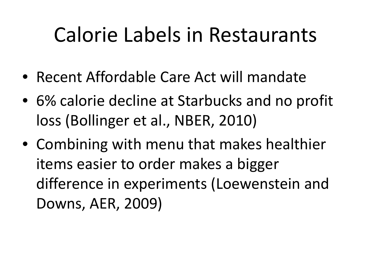#### Calorie Labels in Restaurants

- Recent Affordable Care Act will mandate
- 6% calorie decline at Starbucks and no profit loss (Bollinger et al., NBER, 2010)
- Combining with menu that makes healthier items easier to order makes a bigger difference in experiments (Loewenstein and Downs, AER, 2009)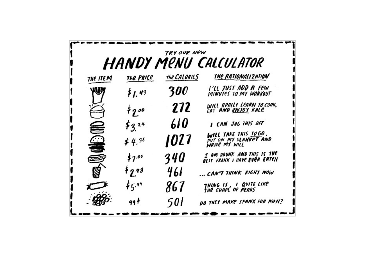| TRY OUR NEW<br><b>HANDY MENU CALCULATOR</b> |                     |              |                                                                 |  |
|---------------------------------------------|---------------------|--------------|-----------------------------------------------------------------|--|
| the ItEM                                    | the Price           | the CALORIES | THE RATIONALIZATION                                             |  |
| 47                                          | \$1.43              | 300          | I'LL JUST ADD A Few<br>MINUTES TO MY WORKOUT                    |  |
|                                             | $*2$                | 272          | WILL REALLY LEARN TO COOK,<br>EAT AND <u>ENJOY</u> KALE         |  |
|                                             | $\frac{1}{2}3^{24}$ | 61 O         | <b>I CAN JOG THIS OFF</b>                                       |  |
| $\mathcal{L}(\mathcal{L})$                  | $\neq 4.36$         | 1027         | WILL TAKE THIS TO GO.<br>PUT ON MY SLANKET AND<br>WRITE MY WILL |  |
|                                             | \$7.05              | 340          | I AM DRUNK AND THIS IS THE<br>BEST FRANK I HAVE EVER EATEN      |  |
|                                             | 52.98               | 461          | CAN'T THINK RIGHT NOW                                           |  |
|                                             | \$5.49              | 867          | THING IS , I QUITE LIKE<br>THE SHAPE OF PEARS                   |  |
|                                             | 99 F                | 501          | DO THEY MAKE SPANX FOR MEN?                                     |  |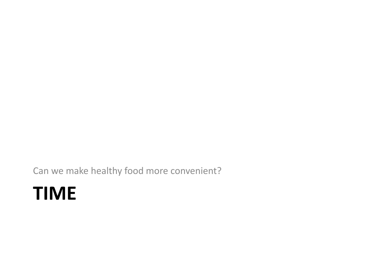Can we make healthy food more convenient?

#### **TIME**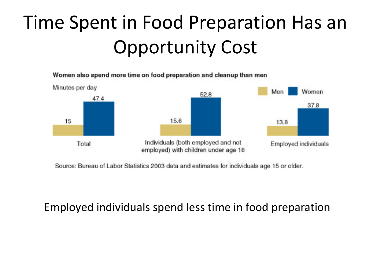#### Time Spent in Food Preparation Has an Opportunity Cost

Women also spend more time on food preparation and cleanup than men



Source: Bureau of Labor Statistics 2003 data and estimates for individuals age 15 or older.

#### Employed individuals spend less time in food preparation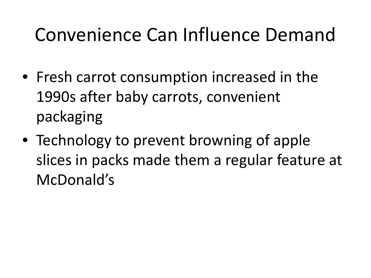#### Convenience Can Influence Demand

- Fresh carrot consumption increased in the 1990s after baby carrots, convenient packaging
- Technology to prevent browning of apple slices in packs made them a regular feature at McDonald's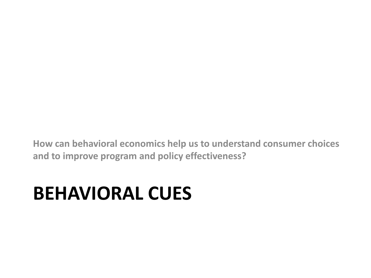**How can behavioral economics help us to understand consumer choices and to improve program and policy effectiveness?**

#### **BEHAVIORAL CUES**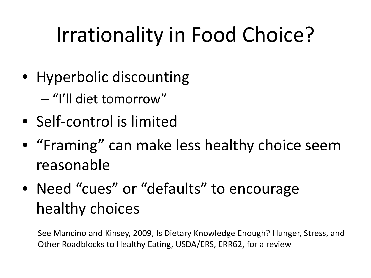# Irrationality in Food Choice?

- Hyperbolic discounting
	- "I'll diet tomorrow"
- Self-control is limited
- "Framing" can make less healthy choice seem reasonable
- Need "cues" or "defaults" to encourage healthy choices

See Mancino and Kinsey, 2009, Is Dietary Knowledge Enough? Hunger, Stress, and Other Roadblocks to Healthy Eating, USDA/ERS, ERR62, for a review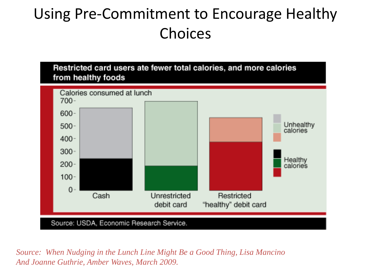#### Using Pre-Commitment to Encourage Healthy Choices



*Source: When Nudging in the Lunch Line Might Be a Good Thing, Lisa Mancino And Joanne Guthrie, Amber Waves, March 2009.*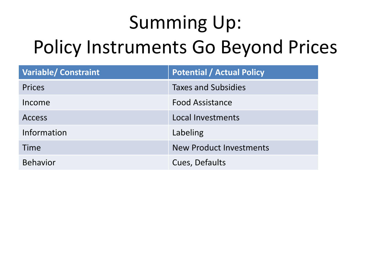# Summing Up: Policy Instruments Go Beyond Prices

| <b>Variable/ Constraint</b> | <b>Potential / Actual Policy</b> |
|-----------------------------|----------------------------------|
| <b>Prices</b>               | <b>Taxes and Subsidies</b>       |
| Income                      | <b>Food Assistance</b>           |
| <b>Access</b>               | Local Investments                |
| Information                 | Labeling                         |
| Time                        | <b>New Product Investments</b>   |
| <b>Behavior</b>             | Cues, Defaults                   |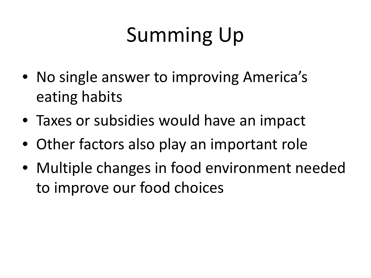# Summing Up

- No single answer to improving America's eating habits
- Taxes or subsidies would have an impact
- Other factors also play an important role
- Multiple changes in food environment needed to improve our food choices